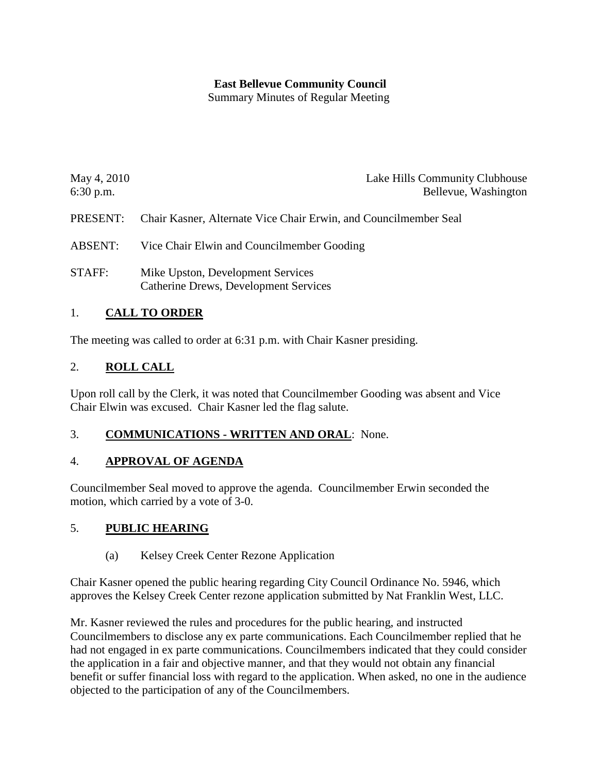## **East Bellevue Community Council**

Summary Minutes of Regular Meeting

| May 4, 2010 | Lake Hills Community Clubhouse                                   |
|-------------|------------------------------------------------------------------|
| $6:30$ p.m. | Bellevue, Washington                                             |
| PRESENT:    | Chair Kasner, Alternate Vice Chair Erwin, and Councilmember Seal |

- ABSENT: Vice Chair Elwin and Councilmember Gooding
- STAFF: Mike Upston, Development Services Catherine Drews, Development Services

## 1. **CALL TO ORDER**

The meeting was called to order at 6:31 p.m. with Chair Kasner presiding.

### 2. **ROLL CALL**

Upon roll call by the Clerk, it was noted that Councilmember Gooding was absent and Vice Chair Elwin was excused. Chair Kasner led the flag salute.

### 3. **COMMUNICATIONS - WRITTEN AND ORAL**: None.

### 4. **APPROVAL OF AGENDA**

Councilmember Seal moved to approve the agenda. Councilmember Erwin seconded the motion, which carried by a vote of 3-0.

### 5. **PUBLIC HEARING**

(a) Kelsey Creek Center Rezone Application

Chair Kasner opened the public hearing regarding City Council Ordinance No. 5946, which approves the Kelsey Creek Center rezone application submitted by Nat Franklin West, LLC.

Mr. Kasner reviewed the rules and procedures for the public hearing, and instructed Councilmembers to disclose any ex parte communications. Each Councilmember replied that he had not engaged in ex parte communications. Councilmembers indicated that they could consider the application in a fair and objective manner, and that they would not obtain any financial benefit or suffer financial loss with regard to the application. When asked, no one in the audience objected to the participation of any of the Councilmembers.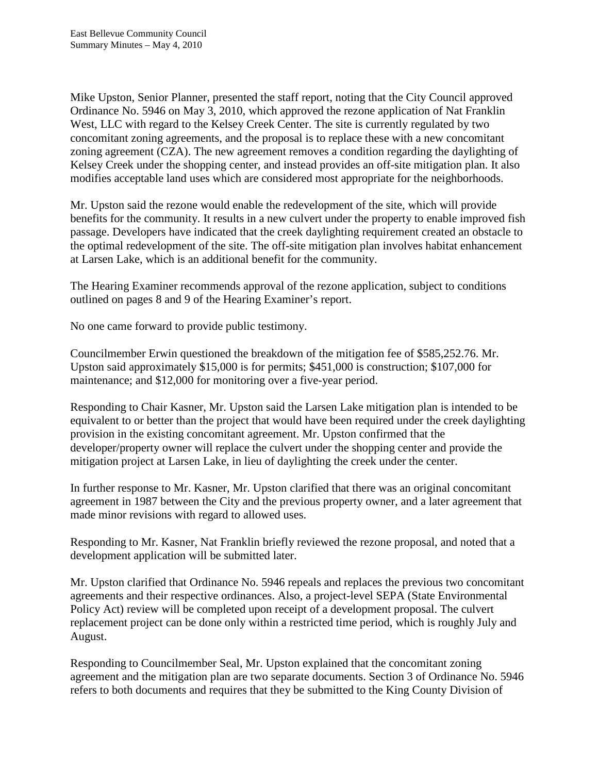Mike Upston, Senior Planner, presented the staff report, noting that the City Council approved Ordinance No. 5946 on May 3, 2010, which approved the rezone application of Nat Franklin West, LLC with regard to the Kelsey Creek Center. The site is currently regulated by two concomitant zoning agreements, and the proposal is to replace these with a new concomitant zoning agreement (CZA). The new agreement removes a condition regarding the daylighting of Kelsey Creek under the shopping center, and instead provides an off-site mitigation plan. It also modifies acceptable land uses which are considered most appropriate for the neighborhoods.

Mr. Upston said the rezone would enable the redevelopment of the site, which will provide benefits for the community. It results in a new culvert under the property to enable improved fish passage. Developers have indicated that the creek daylighting requirement created an obstacle to the optimal redevelopment of the site. The off-site mitigation plan involves habitat enhancement at Larsen Lake, which is an additional benefit for the community.

The Hearing Examiner recommends approval of the rezone application, subject to conditions outlined on pages 8 and 9 of the Hearing Examiner's report.

No one came forward to provide public testimony.

Councilmember Erwin questioned the breakdown of the mitigation fee of \$585,252.76. Mr. Upston said approximately \$15,000 is for permits; \$451,000 is construction; \$107,000 for maintenance; and \$12,000 for monitoring over a five-year period.

Responding to Chair Kasner, Mr. Upston said the Larsen Lake mitigation plan is intended to be equivalent to or better than the project that would have been required under the creek daylighting provision in the existing concomitant agreement. Mr. Upston confirmed that the developer/property owner will replace the culvert under the shopping center and provide the mitigation project at Larsen Lake, in lieu of daylighting the creek under the center.

In further response to Mr. Kasner, Mr. Upston clarified that there was an original concomitant agreement in 1987 between the City and the previous property owner, and a later agreement that made minor revisions with regard to allowed uses.

Responding to Mr. Kasner, Nat Franklin briefly reviewed the rezone proposal, and noted that a development application will be submitted later.

Mr. Upston clarified that Ordinance No. 5946 repeals and replaces the previous two concomitant agreements and their respective ordinances. Also, a project-level SEPA (State Environmental Policy Act) review will be completed upon receipt of a development proposal. The culvert replacement project can be done only within a restricted time period, which is roughly July and August.

Responding to Councilmember Seal, Mr. Upston explained that the concomitant zoning agreement and the mitigation plan are two separate documents. Section 3 of Ordinance No. 5946 refers to both documents and requires that they be submitted to the King County Division of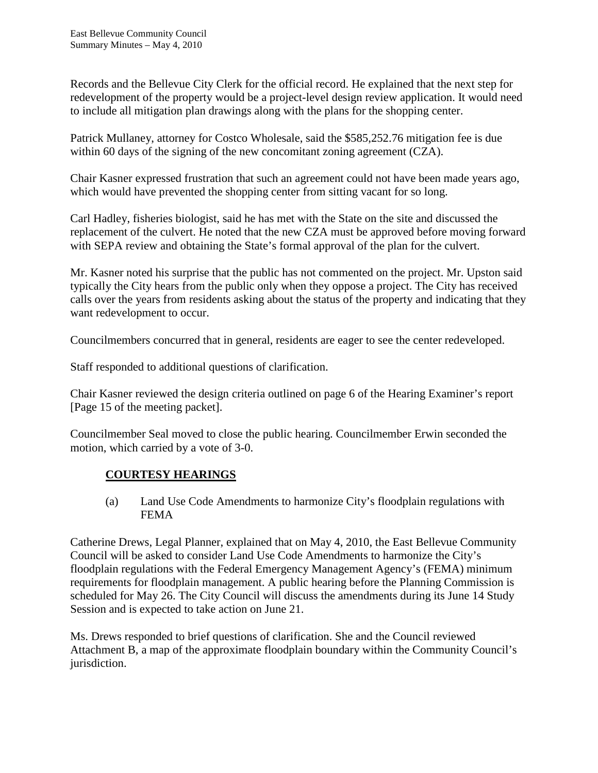Records and the Bellevue City Clerk for the official record. He explained that the next step for redevelopment of the property would be a project-level design review application. It would need to include all mitigation plan drawings along with the plans for the shopping center.

Patrick Mullaney, attorney for Costco Wholesale, said the \$585,252.76 mitigation fee is due within 60 days of the signing of the new concomitant zoning agreement (CZA).

Chair Kasner expressed frustration that such an agreement could not have been made years ago, which would have prevented the shopping center from sitting vacant for so long.

Carl Hadley, fisheries biologist, said he has met with the State on the site and discussed the replacement of the culvert. He noted that the new CZA must be approved before moving forward with SEPA review and obtaining the State's formal approval of the plan for the culvert.

Mr. Kasner noted his surprise that the public has not commented on the project. Mr. Upston said typically the City hears from the public only when they oppose a project. The City has received calls over the years from residents asking about the status of the property and indicating that they want redevelopment to occur.

Councilmembers concurred that in general, residents are eager to see the center redeveloped.

Staff responded to additional questions of clarification.

Chair Kasner reviewed the design criteria outlined on page 6 of the Hearing Examiner's report [Page 15 of the meeting packet].

Councilmember Seal moved to close the public hearing. Councilmember Erwin seconded the motion, which carried by a vote of 3-0.

# **COURTESY HEARINGS**

(a) Land Use Code Amendments to harmonize City's floodplain regulations with FEMA

Catherine Drews, Legal Planner, explained that on May 4, 2010, the East Bellevue Community Council will be asked to consider Land Use Code Amendments to harmonize the City's floodplain regulations with the Federal Emergency Management Agency's (FEMA) minimum requirements for floodplain management. A public hearing before the Planning Commission is scheduled for May 26. The City Council will discuss the amendments during its June 14 Study Session and is expected to take action on June 21.

Ms. Drews responded to brief questions of clarification. She and the Council reviewed Attachment B, a map of the approximate floodplain boundary within the Community Council's jurisdiction.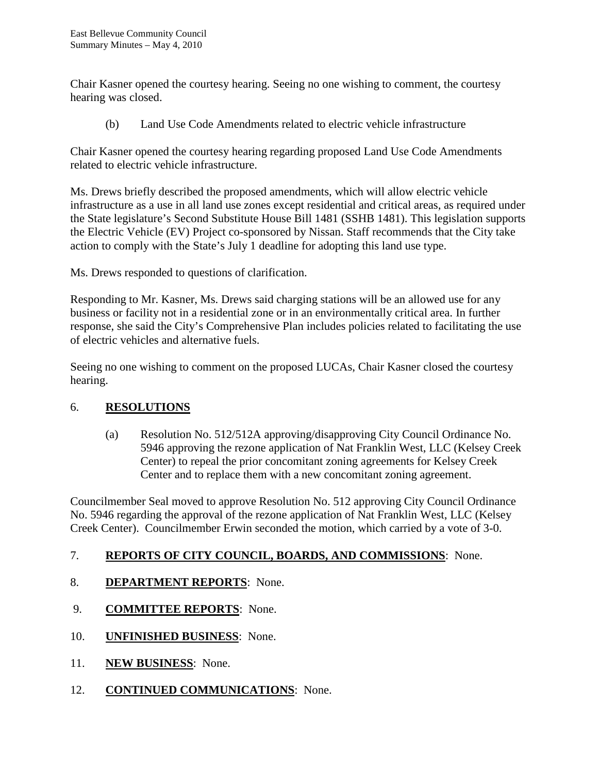Chair Kasner opened the courtesy hearing. Seeing no one wishing to comment, the courtesy hearing was closed.

(b) Land Use Code Amendments related to electric vehicle infrastructure

Chair Kasner opened the courtesy hearing regarding proposed Land Use Code Amendments related to electric vehicle infrastructure.

Ms. Drews briefly described the proposed amendments, which will allow electric vehicle infrastructure as a use in all land use zones except residential and critical areas, as required under the State legislature's Second Substitute House Bill 1481 (SSHB 1481). This legislation supports the Electric Vehicle (EV) Project co-sponsored by Nissan. Staff recommends that the City take action to comply with the State's July 1 deadline for adopting this land use type.

Ms. Drews responded to questions of clarification.

Responding to Mr. Kasner, Ms. Drews said charging stations will be an allowed use for any business or facility not in a residential zone or in an environmentally critical area. In further response, she said the City's Comprehensive Plan includes policies related to facilitating the use of electric vehicles and alternative fuels.

Seeing no one wishing to comment on the proposed LUCAs, Chair Kasner closed the courtesy hearing.

### 6. **RESOLUTIONS**

(a) Resolution No. 512/512A approving/disapproving City Council Ordinance No. 5946 approving the rezone application of Nat Franklin West, LLC (Kelsey Creek Center) to repeal the prior concomitant zoning agreements for Kelsey Creek Center and to replace them with a new concomitant zoning agreement.

Councilmember Seal moved to approve Resolution No. 512 approving City Council Ordinance No. 5946 regarding the approval of the rezone application of Nat Franklin West, LLC (Kelsey Creek Center). Councilmember Erwin seconded the motion, which carried by a vote of 3-0.

### 7. **REPORTS OF CITY COUNCIL, BOARDS, AND COMMISSIONS**: None.

- 8. **DEPARTMENT REPORTS**: None.
- 9. **COMMITTEE REPORTS**: None.
- 10. **UNFINISHED BUSINESS**: None.
- 11. **NEW BUSINESS**: None.
- 12. **CONTINUED COMMUNICATIONS**: None.